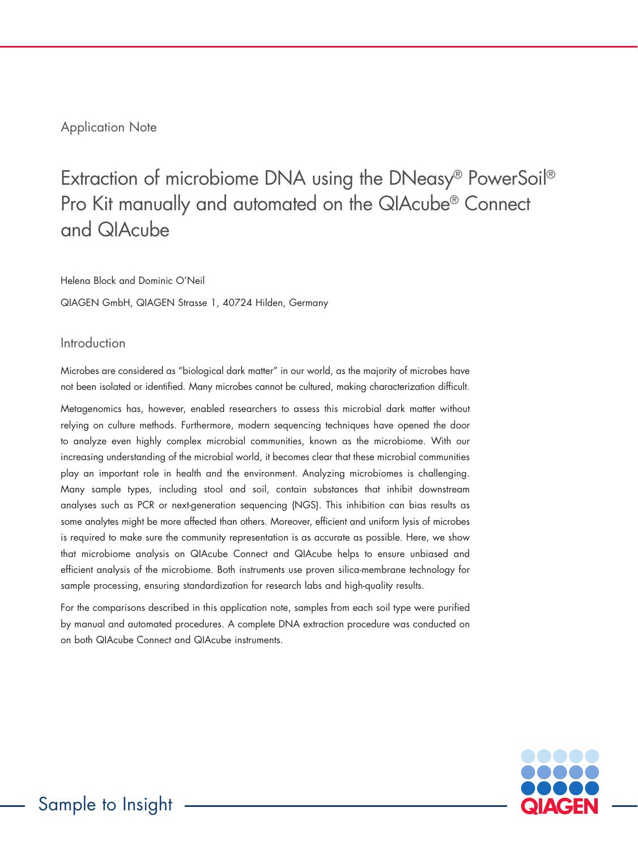# Application Note

# Extraction of microbiome DNA using the DNeasy® PowerSoil® Pro Kit manually and automated on the QIAcube® Connect and QIAcube

Helena Block and Dominic O'Neil

QIAGEN GmbH, QIAGEN Strasse 1, 40724 Hilden, Germany

### Introduction

Microbes are considered as "biological dark matter" in our world, as the majority of microbes have not been isolated or identified. Many microbes cannot be cultured, making characterization difficult.

Metagenomics has, however, enabled researchers to assess this microbial dark matter without relying on culture methods. Furthermore, modern sequencing techniques have opened the door to analyze even highly complex microbial communities, known as the microbiome. With our increasing understanding of the microbial world, it becomes clear that these microbial communities play an important role in health and the environment. Analyzing microbiomes is challenging. Many sample types, including stool and soil, contain substances that inhibit downstream analyses such as PCR or next-generation sequencing (NGS). This inhibition can bias results as some analytes might be more affected than others. Moreover, efficient and uniform lysis of microbes is required to make sure the community representation is as accurate as possible. Here, we show that microbiome analysis on QIAcube Connect and QIAcube helps to ensure unbiased and efficient analysis of the microbiome. Both instruments use proven silica-membrane technology for sample processing, ensuring standardization for research labs and high-quality results.

For the comparisons described in this application note, samples from each soil type were purified by manual and automated procedures. A complete DNA extraction procedure was conducted on on both QIAcube Connect and QIAcube instruments.

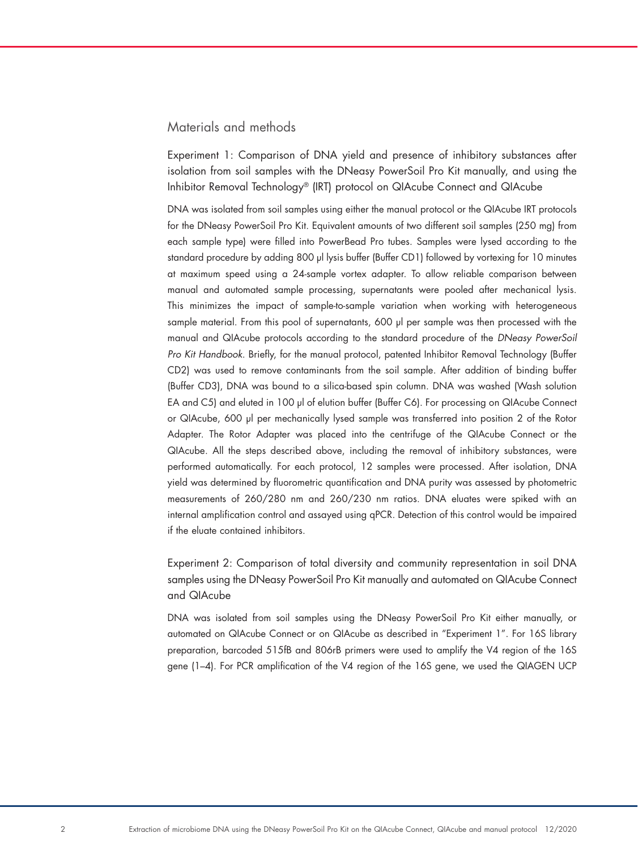### Materials and methods

Experiment 1: Comparison of DNA yield and presence of inhibitory substances after isolation from soil samples with the DNeasy PowerSoil Pro Kit manually, and using the Inhibitor Removal Technology® (IRT) protocol on QIAcube Connect and QIAcube

DNA was isolated from soil samples using either the manual protocol or the QIAcube IRT protocols for the DNeasy PowerSoil Pro Kit. Equivalent amounts of two different soil samples (250 mg) from each sample type) were filled into PowerBead Pro tubes. Samples were lysed according to the standard procedure by adding 800 µl lysis buffer (Buffer CD1) followed by vortexing for 10 minutes at maximum speed using a 24-sample vortex adapter. To allow reliable comparison between manual and automated sample processing, supernatants were pooled after mechanical lysis. This minimizes the impact of sample-to-sample variation when working with heterogeneous sample material. From this pool of supernatants, 600 µl per sample was then processed with the manual and QIAcube protocols according to the standard procedure of the *DNeasy PowerSoil Pro Kit Handbook*. Briefly, for the manual protocol, patented Inhibitor Removal Technology (Buffer CD2) was used to remove contaminants from the soil sample. After addition of binding buffer (Buffer CD3), DNA was bound to a silica-based spin column. DNA was washed (Wash solution EA and C5) and eluted in 100 µl of elution buffer (Buffer C6). For processing on QIAcube Connect or QIAcube, 600 µl per mechanically lysed sample was transferred into position 2 of the Rotor Adapter. The Rotor Adapter was placed into the centrifuge of the QIAcube Connect or the QIAcube. All the steps described above, including the removal of inhibitory substances, were performed automatically. For each protocol, 12 samples were processed. After isolation, DNA yield was determined by fluorometric quantification and DNA purity was assessed by photometric measurements of 260/280 nm and 260/230 nm ratios. DNA eluates were spiked with an internal amplification control and assayed using qPCR. Detection of this control would be impaired if the eluate contained inhibitors.

Experiment 2: Comparison of total diversity and community representation in soil DNA samples using the DNeasy PowerSoil Pro Kit manually and automated on QIAcube Connect and QIAcube

DNA was isolated from soil samples using the DNeasy PowerSoil Pro Kit either manually, or automated on QIAcube Connect or on QIAcube as described in "Experiment 1". For 16S library preparation, barcoded 515fB and 806rB primers were used to amplify the V4 region of the 16S gene (1–4). For PCR amplification of the V4 region of the 16S gene, we used the QIAGEN UCP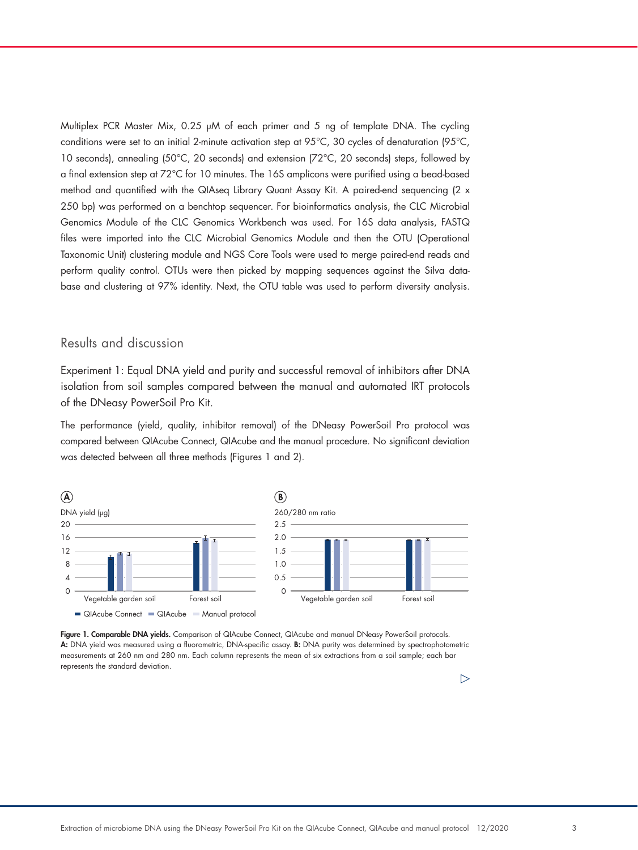Multiplex PCR Master Mix, 0.25 μM of each primer and 5 ng of template DNA. The cycling conditions were set to an initial 2-minute activation step at 95°C, 30 cycles of denaturation (95°C, 10 seconds), annealing (50°C, 20 seconds) and extension (72°C, 20 seconds) steps, followed by a final extension step at 72°C for 10 minutes. The 16S amplicons were purified using a bead-based method and quantified with the QIAseq Library Quant Assay Kit. A paired-end sequencing (2 x 250 bp) was performed on a benchtop sequencer. For bioinformatics analysis, the CLC Microbial Genomics Module of the CLC Genomics Workbench was used. For 16S data analysis, FASTQ files were imported into the CLC Microbial Genomics Module and then the OTU (Operational Taxonomic Unit) clustering module and NGS Core Tools were used to merge paired-end reads and perform quality control. OTUs were then picked by mapping sequences against the Silva database and clustering at 97% identity. Next, the OTU table was used to perform diversity analysis.

### Results and discussion

Experiment 1: Equal DNA yield and purity and successful removal of inhibitors after DNA isolation from soil samples compared between the manual and automated IRT protocols of the DNeasy PowerSoil Pro Kit.

The performance (yield, quality, inhibitor removal) of the DNeasy PowerSoil Pro protocol was compared between QIAcube Connect, QIAcube and the manual procedure. No significant deviation was detected between all three methods (Figures 1 and 2).





#### $\triangleright$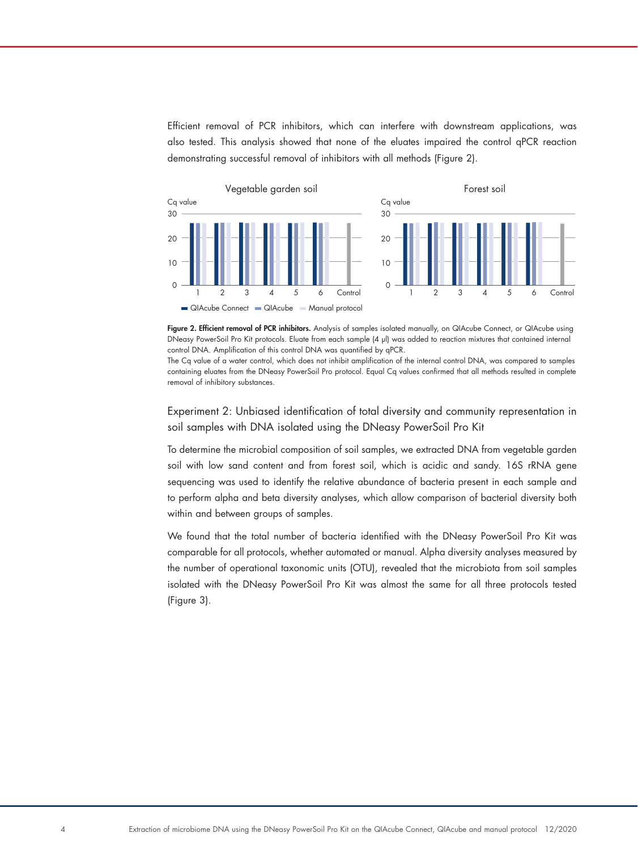Efficient removal of PCR inhibitors, which can interfere with downstream applications, was also tested. This analysis showed that none of the eluates impaired the control qPCR reaction demonstrating successful removal of inhibitors with all methods (Figure 2).



Figure 2. Efficient removal of PCR inhibitors. Analysis of samples isolated manually, on QIAcube Connect, or QIAcube using DNeasy PowerSoil Pro Kit protocols. Eluate from each sample (4 µl) was added to reaction mixtures that contained internal control DNA. Amplification of this control DNA was quantified by qPCR.

The Cq value of a water control, which does not inhibit amplification of the internal control DNA, was compared to samples containing eluates from the DNeasy PowerSoil Pro protocol. Equal Cq values confirmed that all methods resulted in complete removal of inhibitory substances.

Experiment 2: Unbiased identification of total diversity and community representation in soil samples with DNA isolated using the DNeasy PowerSoil Pro Kit

To determine the microbial composition of soil samples, we extracted DNA from vegetable garden soil with low sand content and from forest soil, which is acidic and sandy. 16S rRNA gene sequencing was used to identify the relative abundance of bacteria present in each sample and to perform alpha and beta diversity analyses, which allow comparison of bacterial diversity both within and between groups of samples.

We found that the total number of bacteria identified with the DNeasy PowerSoil Pro Kit was comparable for all protocols, whether automated or manual. Alpha diversity analyses measured by the number of operational taxonomic units (OTU), revealed that the microbiota from soil samples isolated with the DNeasy PowerSoil Pro Kit was almost the same for all three protocols tested (Figure 3).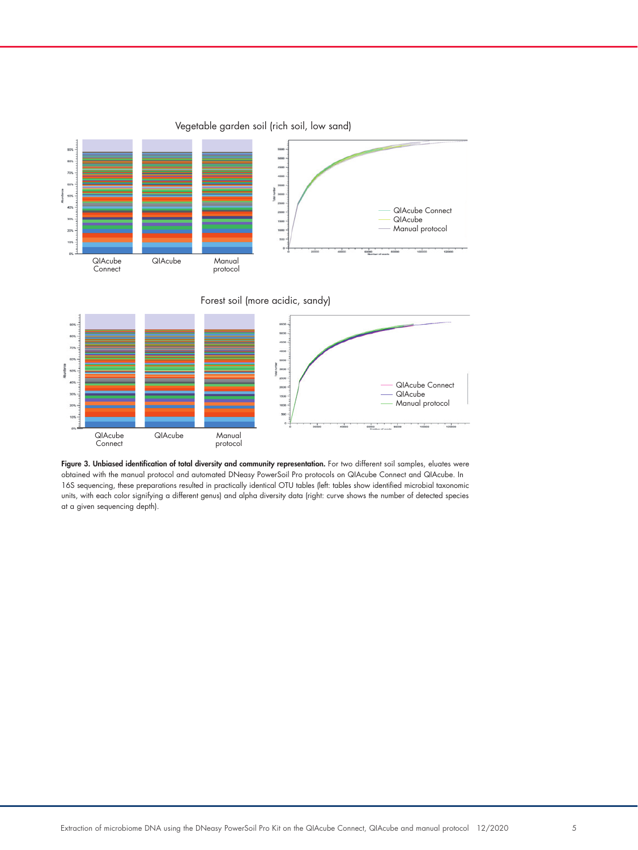

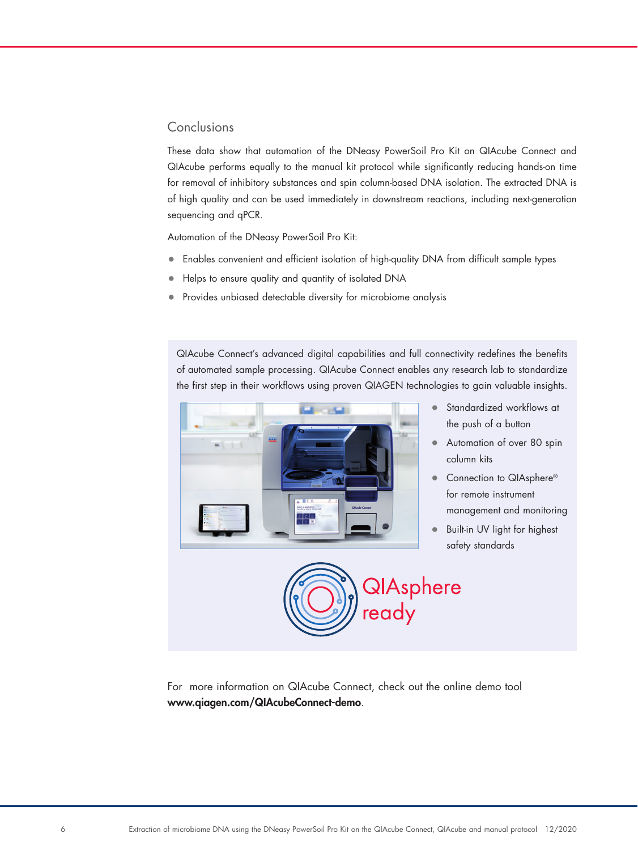## Conclusions

These data show that automation of the DNeasy PowerSoil Pro Kit on QIAcube Connect and QIAcube performs equally to the manual kit protocol while significantly reducing hands-on time for removal of inhibitory substances and spin column-based DNA isolation. The extracted DNA is of high quality and can be used immediately in downstream reactions, including next-generation sequencing and qPCR.

Automation of the DNeasy PowerSoil Pro Kit:

- Enables convenient and efficient isolation of high-quality DNA from difficult sample types
- Helps to ensure quality and quantity of isolated DNA
- Provides unbiased detectable diversity for microbiome analysis

QIAcube Connect's advanced digital capabilities and full connectivity redefines the benefits of automated sample processing. QIAcube Connect enables any research lab to standardize the first step in their workflows using proven QIAGEN technologies to gain valuable insights.



- Standardized workflows at the push of a button
- Automation of over 80 spin column kits
- Connection to QIAsphere® for remote instrument management and monitoring
- Built-in UV light for highest safety standards



For more information on QIAcube Connect, check out the online demo tool www.qiagen.com/QIAcubeConnect-demo.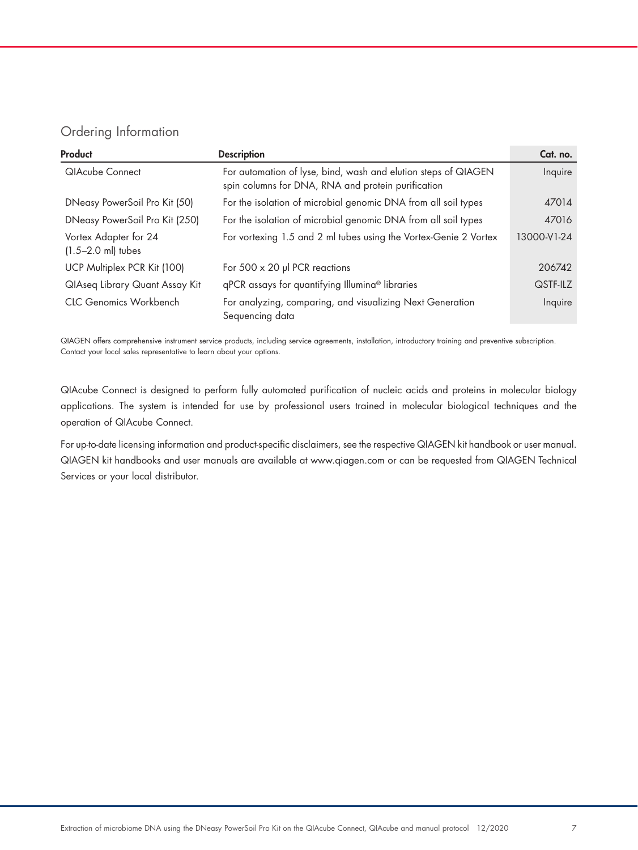# Ordering Information

| Product                                         | <b>Description</b>                                                                                                   | Cat. no.    |
|-------------------------------------------------|----------------------------------------------------------------------------------------------------------------------|-------------|
| <b>QIAcube Connect</b>                          | For automation of lyse, bind, wash and elution steps of QIAGEN<br>spin columns for DNA, RNA and protein purification | Inquire     |
| DNeasy PowerSoil Pro Kit (50)                   | For the isolation of microbial genomic DNA from all soil types                                                       | 47014       |
| DNeasy PowerSoil Pro Kit (250)                  | For the isolation of microbial genomic DNA from all soil types                                                       | 47016       |
| Vortex Adapter for 24<br>$(1.5 - 2.0$ ml) tubes | For vortexing 1.5 and 2 ml tubes using the Vortex-Genie 2 Vortex                                                     | 13000-V1-24 |
| UCP Multiplex PCR Kit (100)                     | For $500 \times 20$ µl PCR reactions                                                                                 | 206742      |
| QIAseq Library Quant Assay Kit                  | qPCR assays for quantifying Illumina® libraries                                                                      | QSTF-ILZ    |
| <b>CLC Genomics Workbench</b>                   | For analyzing, comparing, and visualizing Next Generation<br>Sequencing data                                         | Inquire     |

QIAGEN offers comprehensive instrument service products, including service agreements, installation, introductory training and preventive subscription. Contact your local sales representative to learn about your options.

QIAcube Connect is designed to perform fully automated purification of nucleic acids and proteins in molecular biology applications. The system is intended for use by professional users trained in molecular biological techniques and the operation of QIAcube Connect.

For up-to-date licensing information and product-specific disclaimers, see the respective QIAGEN kit handbook or user manual. QIAGEN kit handbooks and user manuals are available at www.qiagen.com or can be requested from QIAGEN Technical Services or your local distributor.